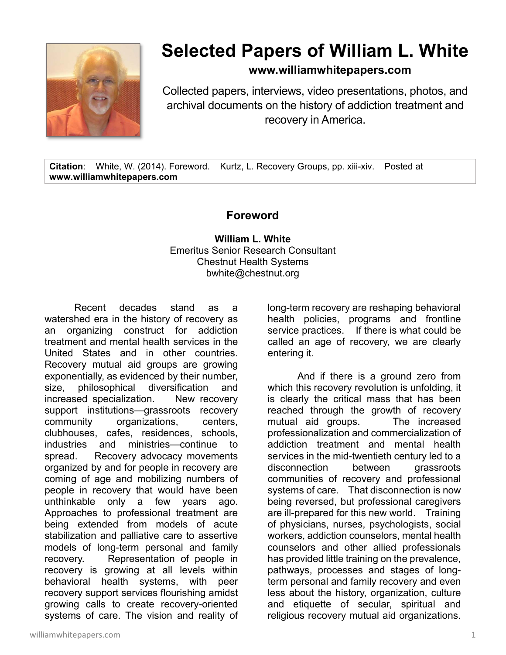

## **Selected Papers of William L. White**

**www.williamwhitepapers.com**

Collected papers, interviews, video presentations, photos, and archival documents on the history of addiction treatment and recovery in America.

**Citation**: White, W. (2014). Foreword. Kurtz, L. Recovery Groups, pp. xiii-xiv. Posted at **www.williamwhitepapers.com** 

## **Foreword**

**William L. White**  Emeritus Senior Research Consultant Chestnut Health Systems bwhite@chestnut.org

Recent decades stand as a watershed era in the history of recovery as an organizing construct for addiction treatment and mental health services in the United States and in other countries. Recovery mutual aid groups are growing exponentially, as evidenced by their number, size, philosophical diversification and increased specialization. New recovery support institutions—grassroots recovery community organizations, centers, clubhouses, cafes, residences, schools, industries and ministries—continue to spread. Recovery advocacy movements organized by and for people in recovery are coming of age and mobilizing numbers of people in recovery that would have been unthinkable only a few years ago. Approaches to professional treatment are being extended from models of acute stabilization and palliative care to assertive models of long-term personal and family recovery. Representation of people in recovery is growing at all levels within behavioral health systems, with peer recovery support services flourishing amidst growing calls to create recovery-oriented systems of care. The vision and reality of long-term recovery are reshaping behavioral health policies, programs and frontline service practices. If there is what could be called an age of recovery, we are clearly entering it.

 And if there is a ground zero from which this recovery revolution is unfolding, it is clearly the critical mass that has been reached through the growth of recovery mutual aid groups. The increased professionalization and commercialization of addiction treatment and mental health services in the mid-twentieth century led to a disconnection between grassroots communities of recovery and professional systems of care. That disconnection is now being reversed, but professional caregivers are ill-prepared for this new world. Training of physicians, nurses, psychologists, social workers, addiction counselors, mental health counselors and other allied professionals has provided little training on the prevalence, pathways, processes and stages of longterm personal and family recovery and even less about the history, organization, culture and etiquette of secular, spiritual and religious recovery mutual aid organizations.